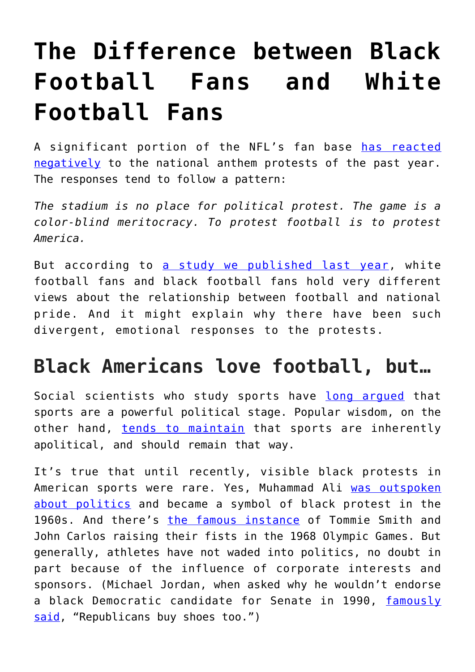## **[The Difference between Black](https://intellectualtakeout.org/2017/10/the-difference-between-black-football-fans-and-white-football-fans/) [Football Fans and White](https://intellectualtakeout.org/2017/10/the-difference-between-black-football-fans-and-white-football-fans/) [Football Fans](https://intellectualtakeout.org/2017/10/the-difference-between-black-football-fans-and-white-football-fans/)**

A significant portion of the NFL's fan base [has reacted](https://www.cbssports.com/nfl/news/poll-majority-of-americans-disagree-with-colin-kaepernicks-protest/) [negatively](https://www.cbssports.com/nfl/news/poll-majority-of-americans-disagree-with-colin-kaepernicks-protest/) to the national anthem protests of the past year. The responses tend to follow a pattern:

*The stadium is no place for political protest. The game is a color-blind meritocracy. To protest football is to protest America.*

But according to [a study we published last year,](http://plaza.ufl.edu/tsorek/articles/Americanfootball.pdf) white football fans and black football fans hold very different views about the relationship between football and national pride. And it might explain why there have been such divergent, emotional responses to the protests.

## **Black Americans love football, but…**

Social scientists who study sports have long arqued that sports are a powerful political stage. Popular wisdom, on the other hand, [tends to maintain](https://www.theodysseyonline.com/sports-politics-should-never-mix) that sports are inherently apolitical, and should remain that way.

It's true that until recently, visible black protests in American sports were rare. Yes, Muhammad Ali [was outspoken](http://www.edgeofsports.com/product/Whats-My-Name-Fool/) [about politics](http://www.edgeofsports.com/product/Whats-My-Name-Fool/) and became a symbol of black protest in the 1960s. And there's [the famous instance](https://books.google.com/books?id=zpYxyEMDJjsC&printsec=frontcover&dq=dave+zirin+john+carls&hl=en&sa=X&ved=0ahUKEwivm5_JzMrWAhVF-lQKHQeLBjEQ6AEIJjAA#v=onepage&q&f=false) of Tommie Smith and John Carlos raising their fists in the 1968 Olympic Games. But generally, athletes have not waded into politics, no doubt in part because of the influence of corporate interests and sponsors. (Michael Jordan, when asked why he wouldn't endorse a black Democratic candidate for Senate in 1990, [famously](https://books.google.com/books/about/Second_Coming.html?id=BA5mPwAACAAJ) [said](https://books.google.com/books/about/Second_Coming.html?id=BA5mPwAACAAJ), "Republicans buy shoes too.")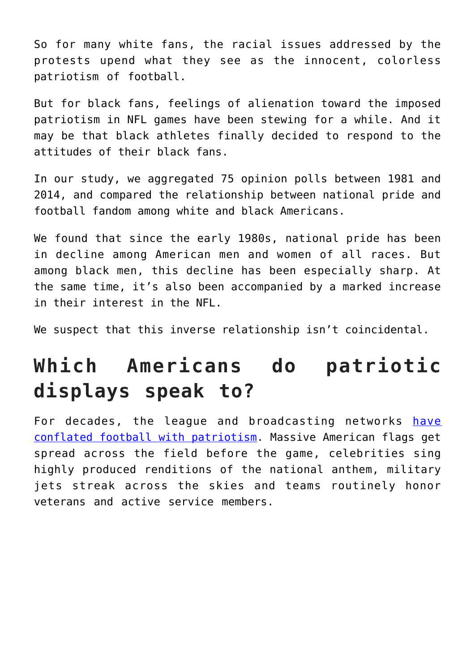So for many white fans, the racial issues addressed by the protests upend what they see as the innocent, colorless patriotism of football.

But for black fans, feelings of alienation toward the imposed patriotism in NFL games have been stewing for a while. And it may be that black athletes finally decided to respond to the attitudes of their black fans.

In our study, we aggregated 75 opinion polls between 1981 and 2014, and compared the relationship between national pride and football fandom among white and black Americans.

We found that since the early 1980s, national pride has been in decline among American men and women of all races. But among black men, this decline has been especially sharp. At the same time, it's also been accompanied by a marked increase in their interest in the NFL.

We suspect that this inverse relationship isn't coincidental.

## **Which Americans do patriotic displays speak to?**

For decades, the league and broadcasting networks [have](http://journals.sagepub.com/doi/pdf/10.1177/0193723508319715) [conflated football with patriotism](http://journals.sagepub.com/doi/pdf/10.1177/0193723508319715). Massive American flags get spread across the field before the game, celebrities sing highly produced renditions of the national anthem, military jets streak across the skies and teams routinely honor veterans and active service members.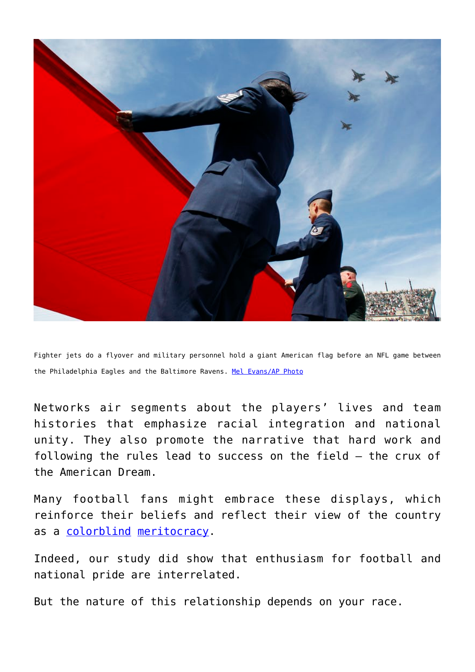

Fighter jets do a flyover and military personnel hold a giant American flag before an NFL game between the Philadelphia Eagles and the Baltimore Ravens. [Mel Evans/AP Photo](http://www.apimages.com/metadata/Index/Ravens-Eagles-Football/105f92a2cbc04ff4bc685419399f0b51/7/0)

Networks air segments about the players' lives and team histories that emphasize racial integration and national unity. They also promote the narrative that hard work and following the rules lead to success on the field – the crux of the American Dream.

Many football fans might embrace these displays, which reinforce their beliefs and reflect their view of the country as a [colorblind](https://www.mediaite.com/online/poll-majority-of-whites-see-america-as-colorblind-nearly-80-of-african-americans-do-not/) [meritocracy.](http://www.huffingtonpost.com/howard-steven-friedman/americas-incomplete-thoug_b_1696282.html)

Indeed, our study did show that enthusiasm for football and national pride are interrelated.

But the nature of this relationship depends on your race.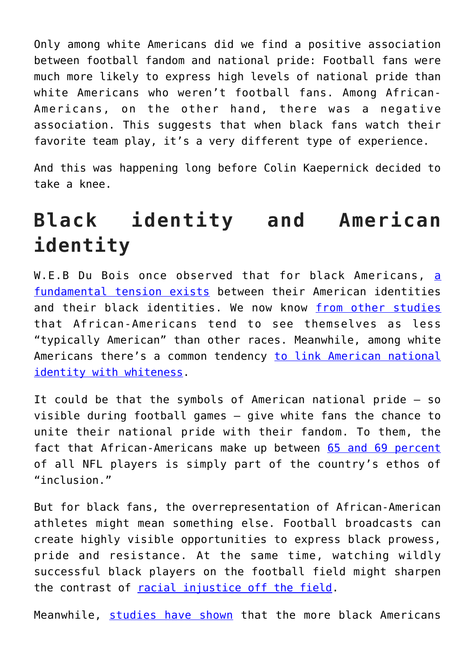Only among white Americans did we find a positive association between football fandom and national pride: Football fans were much more likely to express high levels of national pride than white Americans who weren't football fans. Among African-Americans, on the other hand, there was a negative association. This suggests that when black fans watch their favorite team play, it's a very different type of experience.

And this was happening long before Colin Kaepernick decided to take a knee.

## **Black identity and American identity**

W.E.B Du Bois once observed th[a](https://books.google.com/books/about/The_Souls_of_Black_Folk.html?id=lTXYAAAAMAAJ&printsec=frontcover&source=kp_read_button#v=onepage&q&f=false)t for black Americans, a [fundamental tension exists](https://books.google.com/books/about/The_Souls_of_Black_Folk.html?id=lTXYAAAAMAAJ&printsec=frontcover&source=kp_read_button#v=onepage&q&f=false) between their American identities and their black identities. We now know [from other studies](https://books.google.com/books?id=A2SXphY-DvIC&printsec=frontcover&source=gbs_ge_summary_r&cad=0#v=onepage&q&f=false) that African-Americans tend to see themselves as less "typically American" than other races. Meanwhile, among white Americans there's a common tendency [to link American national](https://www.researchgate.net/profile/Thierry_Devos/publication/7994359_America_White/links/0912f4fa17cfc9118e000000/America-White.pdf(3):447.) [identity with whiteness](https://www.researchgate.net/profile/Thierry_Devos/publication/7994359_America_White/links/0912f4fa17cfc9118e000000/America-White.pdf(3):447.).

It could be that the symbols of American national pride – so visible during football games – give white fans the chance to unite their national pride with their fandom. To them, the fact that African-Americans make up between [65 and 69 percent](http://www.celticcreek.org/images/nflreport.pdf) of all NFL players is simply part of the country's ethos of "inclusion."

But for black fans, the overrepresentation of African-American athletes might mean something else. Football broadcasts can create highly visible opportunities to express black prowess, pride and resistance. At the same time, watching wildly successful black players on the football field might sharpen the contrast of [racial injustice off the field](https://books.google.com/books?id=QQglDwAAQBAJ&lpg=PP1&dq=racial%20discrimination%20in%20America&pg=PP1#v=onepage&q&f=false).

Meanwhile, [studies have shown](http://www.jstor.org/stable/2749514?seq=1#p5age_scan_tab_contents) that the more black Americans